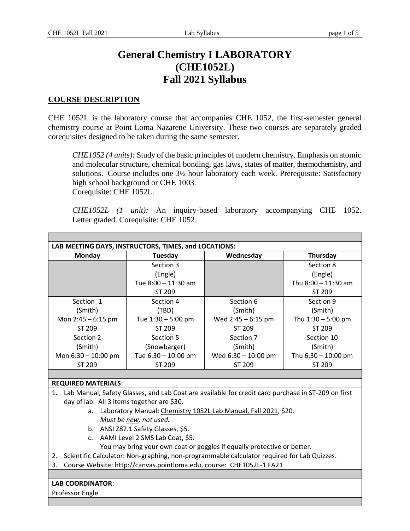# **General Chemistry I LABORATORY (CHE1052L) Fall 2021 Syllabus**

#### **COURSE DESCRIPTION**

CHE 1052L is the laboratory course that accompanies CHE 1052, the first-semester general chemistry course at Point Loma Nazarene University. These two courses are separately graded corequisites designed to be taken during the same semester.

*CHE1052 (4 units):* Study of the basic principles of modern chemistry. Emphasis on atomic and molecular structure, chemical bonding, gas laws, states of matter, thermochemistry, and solutions. Course includes one 3½ hour laboratory each week. Prerequisite: Satisfactory high school background or CHE 1003. Corequisite: CHE 1052L.

*CHE1052L (1 unit):* An inquiry-based laboratory accompanying CHE 1052. Letter graded. Corequisite: CHE 1052.

| LAB MEETING DAYS, INSTRUCTORS, TIMES, and LOCATIONS: |                     |                       |                       |  |
|------------------------------------------------------|---------------------|-----------------------|-----------------------|--|
| Monday                                               | Tuesday             | Wednesday             | Thursday              |  |
|                                                      | Section 3           |                       | Section 8             |  |
|                                                      | (Engle)             |                       | (Engle)               |  |
|                                                      | Tue 8:00 - 11:30 am |                       | Thu $8:00 - 11:30$ am |  |
|                                                      | ST 209              |                       | ST 209                |  |
| Section 1                                            | Section 4           | Section 6             | Section 9             |  |
| (Smith)                                              | (TBD)               | (Smith)               | (Smith)               |  |
| Mon $2:45 - 6:15$ pm                                 | Tue 1:30 - 5:00 pm  | Wed $2:45 - 6:15$ pm  | Thu $1:30 - 5:00$ pm  |  |
| ST 209                                               | ST 209              | ST 209                | ST 209                |  |
| Section 2                                            | Section 5           | Section 7             | Section 10            |  |
| (Smith)                                              | (Snowbarger)        | (Smith)               | (Smith)               |  |
| Mon $6:30 - 10:00$ pm                                | Tue 6:30 - 10:00 pm | Wed $6:30 - 10:00$ pm | Thu $6:30 - 10:00$ pm |  |
| ST 209                                               | ST 209              | ST 209                | ST 209                |  |
|                                                      |                     |                       |                       |  |
| $RFA$ , $BFA$ , $BFA$ , $BFA$ , $BFA$ , $BFA$        |                     |                       |                       |  |

#### **REQUIRED MATERIALS**:

- 1. Lab Manual, Safety Glasses, and Lab Coat are available for credit card purchase in ST-209 on first day of lab. All 3 items together are \$30.
	- a. Laboratory Manual: Chemistry 1052L Lab Manual, Fall 2021, \$20*. Must be new, not used.*
	- b. ANSI Z87.1 Safety Glasses, \$5.
	- c. AAMI Level 2 SMS Lab Coat, \$5.
		- You may bring your own coat or goggles if equally protective or better.
- 2. Scientific Calculator: Non-graphing, non-programmable calculator required for Lab Quizzes.
- 3. Course Website: http://canvas.pointloma.edu, course: CHE1052L-1 FA21

#### **LAB COORDINATOR**:

Professor Engle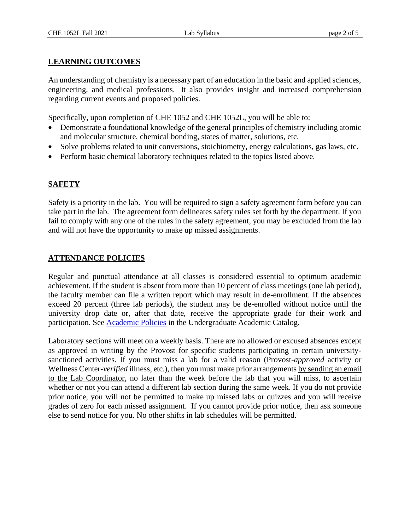#### **LEARNING OUTCOMES**

An understanding of chemistry is a necessary part of an education in the basic and applied sciences, engineering, and medical professions. It also provides insight and increased comprehension regarding current events and proposed policies.

Specifically, upon completion of CHE 1052 and CHE 1052L, you will be able to:

- Demonstrate a foundational knowledge of the general principles of chemistry including atomic and molecular structure, chemical bonding, states of matter, solutions, etc.
- Solve problems related to unit conversions, stoichiometry, energy calculations, gas laws, etc.
- Perform basic chemical laboratory techniques related to the topics listed above.

#### **SAFETY**

Safety is a priority in the lab. You will be required to sign a safety agreement form before you can take part in the lab. The agreement form delineates safety rules set forth by the department. If you fail to comply with any one of the rules in the safety agreement, you may be excluded from the lab and will not have the opportunity to make up missed assignments.

#### **ATTENDANCE POLICIES**

Regular and punctual attendance at all classes is considered essential to optimum academic achievement. If the student is absent from more than 10 percent of class meetings (one lab period), the faculty member can file a written report which may result in de-enrollment. If the absences exceed 20 percent (three lab periods), the student may be de-enrolled without notice until the university drop date or, after that date, receive the appropriate grade for their work and participation. See [Academic Policies](http://catalog.pointloma.edu/content.php?catoid=41&navoid=2435) in the Undergraduate Academic Catalog.

Laboratory sections will meet on a weekly basis. There are no allowed or excused absences except as approved in writing by the Provost for specific students participating in certain universitysanctioned activities. If you must miss a lab for a valid reason (Provost-*approved* activity or Wellness Center-*verified* illness, etc.), then you must make prior arrangements by sending an email to the Lab Coordinator, no later than the week before the lab that you will miss, to ascertain whether or not you can attend a different lab section during the same week. If you do not provide prior notice, you will not be permitted to make up missed labs or quizzes and you will receive grades of zero for each missed assignment. If you cannot provide prior notice, then ask someone else to send notice for you. No other shifts in lab schedules will be permitted.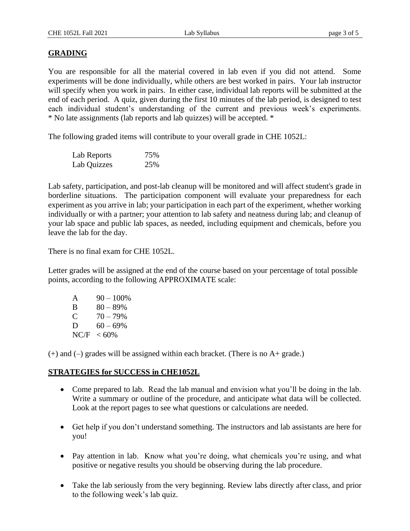#### **GRADING**

You are responsible for all the material covered in lab even if you did not attend. Some experiments will be done individually, while others are best worked in pairs. Your lab instructor will specify when you work in pairs. In either case, individual lab reports will be submitted at the end of each period. A quiz, given during the first 10 minutes of the lab period, is designed to test each individual student's understanding of the current and previous week's experiments. \* No late assignments (lab reports and lab quizzes) will be accepted. \*

The following graded items will contribute to your overall grade in CHE 1052L:

| Lab Reports | 75% |
|-------------|-----|
| Lab Quizzes | 25% |

Lab safety, participation, and post-lab cleanup will be monitored and will affect student's grade in borderline situations. The participation component will evaluate your preparedness for each experiment as you arrive in lab; your participation in each part of the experiment, whether working individually or with a partner; your attention to lab safety and neatness during lab; and cleanup of your lab space and public lab spaces, as needed, including equipment and chemicals, before you leave the lab for the day.

There is no final exam for CHE 1052L.

Letter grades will be assigned at the end of the course based on your percentage of total possible points, according to the following APPROXIMATE scale:

| A    | $90 - 100\%$ |
|------|--------------|
| B    | $80 - 89\%$  |
| €    | $70 - 79\%$  |
| D    | $60 - 69\%$  |
| NC/F | $< 60\%$     |

(+) and (–) grades will be assigned within each bracket. (There is no A+ grade.)

#### **STRATEGIES for SUCCESS in CHE1052L**

- Come prepared to lab. Read the lab manual and envision what you'll be doing in the lab. Write a summary or outline of the procedure, and anticipate what data will be collected. Look at the report pages to see what questions or calculations are needed.
- Get help if you don't understand something. The instructors and lab assistants are here for you!
- Pay attention in lab. Know what you're doing, what chemicals you're using, and what positive or negative results you should be observing during the lab procedure.
- Take the lab seriously from the very beginning. Review labs directly after class, and prior to the following week's lab quiz.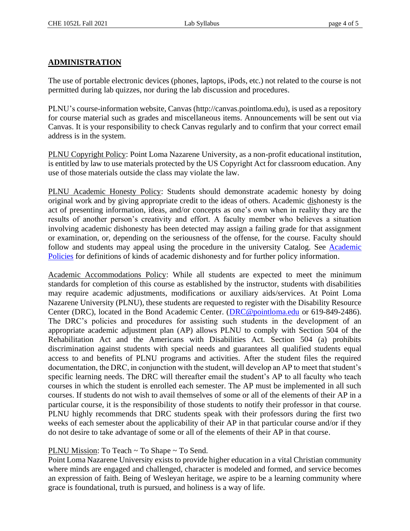## **ADMINISTRATION**

The use of portable electronic devices (phones, laptops, iPods, etc.) not related to the course is not permitted during lab quizzes, nor during the lab discussion and procedures.

PLNU's course-information website, Canvas (http://canvas.pointloma.edu), is used as a repository for course material such as grades and miscellaneous items. Announcements will be sent out via Canvas. It is your responsibility to check Canvas regularly and to confirm that your correct email address is in the system.

PLNU Copyright Policy: Point Loma Nazarene University, as a non-profit educational institution, is entitled by law to use materials protected by the US Copyright Act for classroom education. Any use of those materials outside the class may violate the law.

PLNU Academic Honesty Policy: Students should demonstrate academic honesty by doing original work and by giving appropriate credit to the ideas of others. Academic dishonesty is the act of presenting information, ideas, and/or concepts as one's own when in reality they are the results of another person's creativity and effort. A faculty member who believes a situation involving academic dishonesty has been detected may assign a failing grade for that assignment or examination, or, depending on the seriousness of the offense, for the course. Faculty should follow and students may appeal using the procedure in the university Catalog. See [Academic](http://catalog.pointloma.edu/content.php?catoid=41&navoid=2435)  [Policies](http://catalog.pointloma.edu/content.php?catoid=41&navoid=2435) for definitions of kinds of academic dishonesty and for further policy information.

Academic Accommodations Policy: While all students are expected to meet the minimum standards for completion of this course as established by the instructor, students with disabilities may require academic adjustments, modifications or auxiliary aids/services. At Point Loma Nazarene University (PLNU), these students are requested to register with the Disability Resource Center (DRC), located in the Bond Academic Center. [\(DRC@pointloma.edu](mailto:DRC@pointloma.edu) or 619-849-2486). The DRC's policies and procedures for assisting such students in the development of an appropriate academic adjustment plan (AP) allows PLNU to comply with Section 504 of the Rehabilitation Act and the Americans with Disabilities Act. Section 504 (a) prohibits discrimination against students with special needs and guarantees all qualified students equal access to and benefits of PLNU programs and activities. After the student files the required documentation, the DRC, in conjunction with the student, will develop an AP to meet that student's specific learning needs. The DRC will thereafter email the student's AP to all faculty who teach courses in which the student is enrolled each semester. The AP must be implemented in all such courses. If students do not wish to avail themselves of some or all of the elements of their AP in a particular course, it is the responsibility of those students to notify their professor in that course. PLNU highly recommends that DRC students speak with their professors during the first two weeks of each semester about the applicability of their AP in that particular course and/or if they do not desire to take advantage of some or all of the elements of their AP in that course.

## PLNU Mission: To Teach ~ To Shape ~ To Send.

Point Loma Nazarene University exists to provide higher education in a vital Christian community where minds are engaged and challenged, character is modeled and formed, and service becomes an expression of faith. Being of Wesleyan heritage, we aspire to be a learning community where grace is foundational, truth is pursued, and holiness is a way of life.